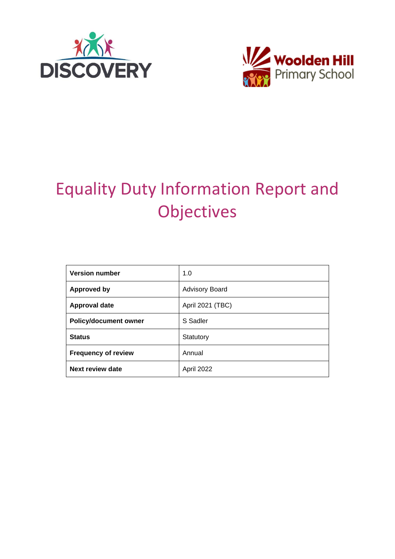



# Equality Duty Information Report and **Objectives**

| <b>Version number</b>        | 1.0                   |  |  |  |
|------------------------------|-----------------------|--|--|--|
| <b>Approved by</b>           | <b>Advisory Board</b> |  |  |  |
| <b>Approval date</b>         | April 2021 (TBC)      |  |  |  |
| <b>Policy/document owner</b> | S Sadler              |  |  |  |
| <b>Status</b>                | Statutory             |  |  |  |
| <b>Frequency of review</b>   | Annual                |  |  |  |
| Next review date             | April 2022            |  |  |  |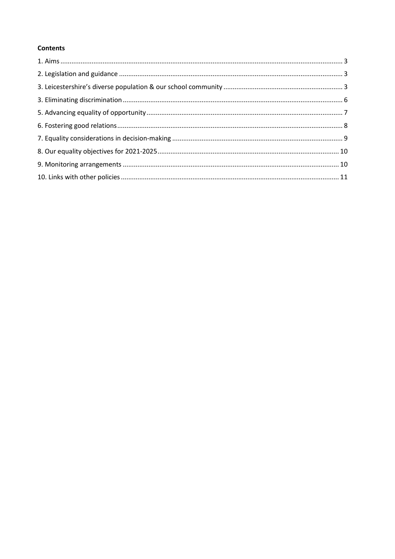#### **Contents**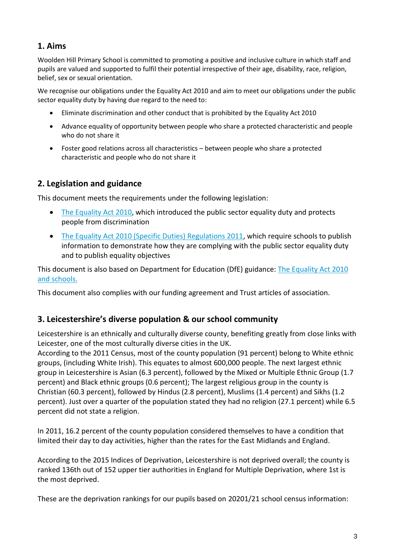## **1. Aims**

Woolden Hill Primary School is committed to promoting a positive and inclusive culture in which staff and pupils are valued and supported to fulfil their potential irrespective of their age, disability, race, religion, belief, sex or sexual orientation.

We recognise our obligations under the Equality Act 2010 and aim to meet our obligations under the public sector equality duty by having due regard to the need to:

- Eliminate discrimination and other conduct that is prohibited by the Equality Act 2010
- Advance equality of opportunity between people who share a protected characteristic and people who do not share it
- Foster good relations across all characteristics between people who share a protected characteristic and people who do not share it

## **2. Legislation and guidance**

This document meets the requirements under the following legislation:

- [The Equality Act 2010,](http://www.legislation.gov.uk/ukpga/2010/15/contents) which introduced the public sector equality duty and protects people from discrimination
- [The Equality Act 2010 \(Specific Duties\) Regulations 2011,](http://www.legislation.gov.uk/uksi/2011/2260/contents/made) which require schools to publish information to demonstrate how they are complying with the public sector equality duty and to publish equality objectives

This document is also based on Department for Education (DfE) guidance: [The Equality Act 2010](https://www.gov.uk/government/uploads/system/uploads/attachment_data/file/315587/Equality_Act_Advice_Final.pdf)  [and schools.](https://www.gov.uk/government/uploads/system/uploads/attachment_data/file/315587/Equality_Act_Advice_Final.pdf) 

This document also complies with our funding agreement and Trust articles of association.

## **3. Leicestershire's diverse population & our school community**

Leicestershire is an ethnically and culturally diverse county, benefiting greatly from close links with Leicester, one of the most culturally diverse cities in the UK.

According to the 2011 Census, most of the county population (91 percent) belong to White ethnic groups, (including White Irish). This equates to almost 600,000 people. The next largest ethnic group in Leicestershire is Asian (6.3 percent), followed by the Mixed or Multiple Ethnic Group (1.7 percent) and Black ethnic groups (0.6 percent); The largest religious group in the county is Christian (60.3 percent), followed by Hindus (2.8 percent), Muslims (1.4 percent) and Sikhs (1.2 percent). Just over a quarter of the population stated they had no religion (27.1 percent) while 6.5 percent did not state a religion.

In 2011, 16.2 percent of the county population considered themselves to have a condition that limited their day to day activities, higher than the rates for the East Midlands and England.

According to the 2015 Indices of Deprivation, Leicestershire is not deprived overall; the county is ranked 136th out of 152 upper tier authorities in England for Multiple Deprivation, where 1st is the most deprived.

These are the deprivation rankings for our pupils based on 20201/21 school census information: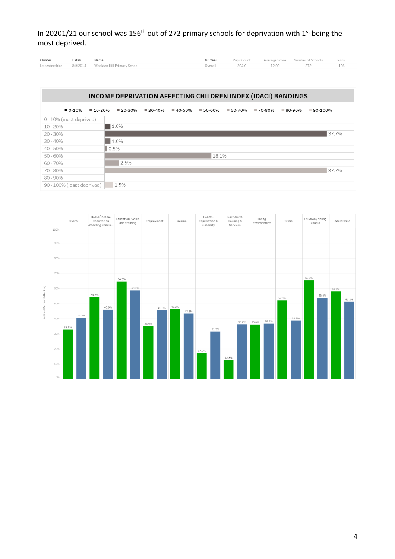In 20201/21 our school was 156<sup>th</sup> out of 272 primary schools for deprivation with 1<sup>st</sup> being the most deprived.

| Cluster        | Estab   | Name                        | NC Year | Pupil Count | Average Score | Number of Schools | Ranl |
|----------------|---------|-----------------------------|---------|-------------|---------------|-------------------|------|
| Leicestershire | 8552014 | Woolden Hill Primary School | Overall | 204.0       |               |                   |      |

#### INCOME DEPRIVATION AFFECTING CHILDREN INDEX (IDACI) BANDINGS

 $0.10%$ ■ 10-20% ■ 20-30% ■ 30-40% ■ 40-50% ■ 50-60% ■ 60-70% ■ 70-80% ■ 80-90% ■ 90-100% 0 - 10% (most deprived)  $\blacksquare$  1.0%  $10 - 20%$  $37.7%$ 20 - 30% п  $30 - 40%$  $1.0\%$  $\big| 0.5\%$ 40 - 50%  $18.1%$ 50 - 60% п 60 - 70% 70 - 80% 37.7% 80 - 90% 90 - 100% (least deprived) 1.5%

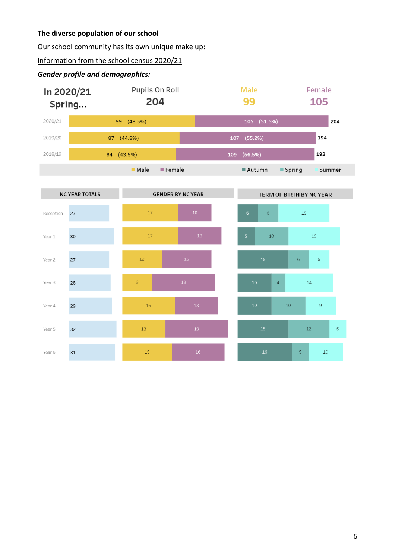#### **The diverse population of our school**

Our school community has its own unique make up:

Information from the school census 2020/21

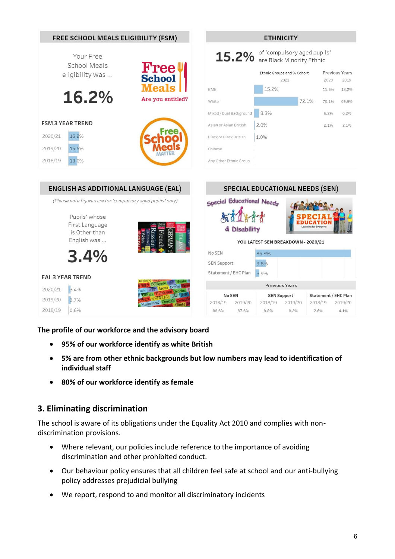

**The profile of our workforce and the advisory board**

- **95% of our workforce identify as white British**
- **5% are from other ethnic backgrounds but low numbers may lead to identification of individual staff**
- **80% of our workforce identify as female**

## **3. Eliminating discrimination**

The school is aware of its obligations under the Equality Act 2010 and complies with nondiscrimination provisions.

- Where relevant, our policies include reference to the importance of avoiding discrimination and other prohibited conduct.
- Our behaviour policy ensures that all children feel safe at school and our anti-bullying policy addresses prejudicial bullying
- We report, respond to and monitor all discriminatory incidents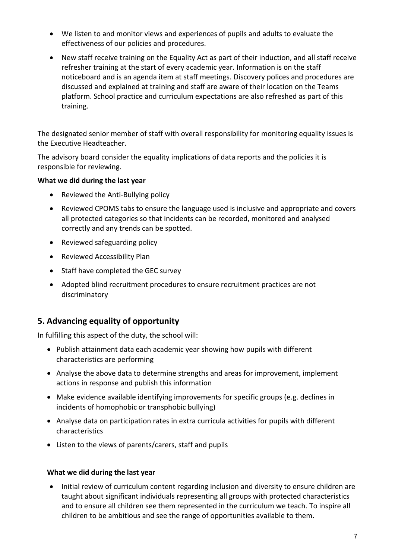- We listen to and monitor views and experiences of pupils and adults to evaluate the effectiveness of our policies and procedures.
- New staff receive training on the Equality Act as part of their induction, and all staff receive refresher training at the start of every academic year. Information is on the staff noticeboard and is an agenda item at staff meetings. Discovery polices and procedures are discussed and explained at training and staff are aware of their location on the Teams platform. School practice and curriculum expectations are also refreshed as part of this training.

The designated senior member of staff with overall responsibility for monitoring equality issues is the Executive Headteacher.

The advisory board consider the equality implications of data reports and the policies it is responsible for reviewing.

#### **What we did during the last year**

- Reviewed the Anti-Bullying policy
- Reviewed CPOMS tabs to ensure the language used is inclusive and appropriate and covers all protected categories so that incidents can be recorded, monitored and analysed correctly and any trends can be spotted.
- Reviewed safeguarding policy
- Reviewed Accessibility Plan
- Staff have completed the GEC survey
- Adopted blind recruitment procedures to ensure recruitment practices are not discriminatory

## **5. Advancing equality of opportunity**

In fulfilling this aspect of the duty, the school will:

- Publish attainment data each academic year showing how pupils with different characteristics are performing
- Analyse the above data to determine strengths and areas for improvement, implement actions in response and publish this information
- Make evidence available identifying improvements for specific groups (e.g. declines in incidents of homophobic or transphobic bullying)
- Analyse data on participation rates in extra curricula activities for pupils with different characteristics
- Listen to the views of parents/carers, staff and pupils

#### **What we did during the last year**

• Initial review of curriculum content regarding inclusion and diversity to ensure children are taught about significant individuals representing all groups with protected characteristics and to ensure all children see them represented in the curriculum we teach. To inspire all children to be ambitious and see the range of opportunities available to them.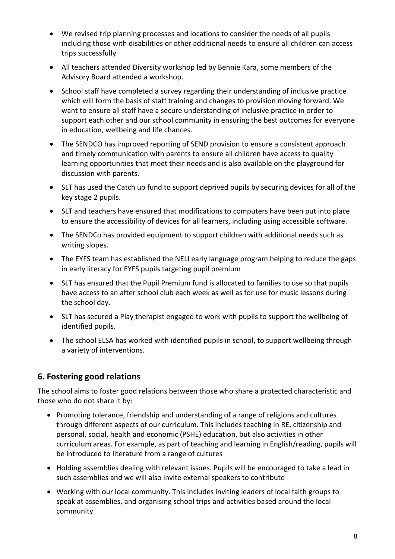- We revised trip planning processes and locations to consider the needs of all pupils including those with disabilities or other additional needs to ensure all children can access trips successfully.
- All teachers attended Diversity workshop led by Bennie Kara, some members of the Advisory Board attended a workshop.
- School staff have completed a survey regarding their understanding of inclusive practice which will form the basis of staff training and changes to provision moving forward. We want to ensure all staff have a secure understanding of inclusive practice in order to support each other and our school community in ensuring the best outcomes for everyone in education, wellbeing and life chances.
- The SENDCO has improved reporting of SEND provision to ensure a consistent approach and timely communication with parents to ensure all children have access to quality learning opportunities that meet their needs and is also available on the playground for discussion with parents.
- SLT has used the Catch up fund to support deprived pupils by securing devices for all of the key stage 2 pupils.
- SLT and teachers have ensured that modifications to computers have been put into place to ensure the accessibility of devices for all learners, including using accessible software.
- The SENDCo has provided equipment to support children with additional needs such as writing slopes.
- The EYFS team has established the NELI early language program helping to reduce the gaps in early literacy for EYFS pupils targeting pupil premium
- SLT has ensured that the Pupil Premium fund is allocated to families to use so that pupils have access to an after school club each week as well as for use for music lessons during the school day.
- SLT has secured a Play therapist engaged to work with pupils to support the wellbeing of identified pupils.
- The school ELSA has worked with identified pupils in school, to support wellbeing through a variety of interventions.

## **6. Fostering good relations**

The school aims to foster good relations between those who share a protected characteristic and those who do not share it by:

- Promoting tolerance, friendship and understanding of a range of religions and cultures through different aspects of our curriculum. This includes teaching in RE, citizenship and personal, social, health and economic (PSHE) education, but also activities in other curriculum areas. For example, as part of teaching and learning in English/reading, pupils will be introduced to literature from a range of cultures
- Holding assemblies dealing with relevant issues. Pupils will be encouraged to take a lead in such assemblies and we will also invite external speakers to contribute
- Working with our local community. This includes inviting leaders of local faith groups to speak at assemblies, and organising school trips and activities based around the local community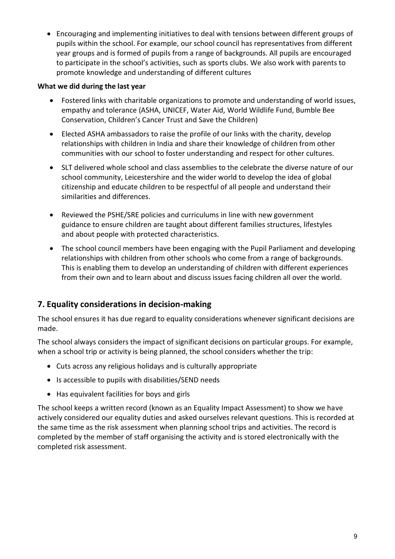• Encouraging and implementing initiatives to deal with tensions between different groups of pupils within the school. For example, our school council has representatives from different year groups and is formed of pupils from a range of backgrounds. All pupils are encouraged to participate in the school's activities, such as sports clubs. We also work with parents to promote knowledge and understanding of different cultures

#### **What we did during the last year**

- Fostered links with charitable organizations to promote and understanding of world issues, empathy and tolerance (ASHA, UNICEF, Water Aid, World Wildlife Fund, Bumble Bee Conservation, Children's Cancer Trust and Save the Children)
- Elected ASHA ambassadors to raise the profile of our links with the charity, develop relationships with children in India and share their knowledge of children from other communities with our school to foster understanding and respect for other cultures.
- SLT delivered whole school and class assemblies to the celebrate the diverse nature of our school community, Leicestershire and the wider world to develop the idea of global citizenship and educate children to be respectful of all people and understand their similarities and differences.
- Reviewed the PSHE/SRE policies and curriculums in line with new government guidance to ensure children are taught about different families structures, lifestyles and about people with protected characteristics.
- The school council members have been engaging with the Pupil Parliament and developing relationships with children from other schools who come from a range of backgrounds. This is enabling them to develop an understanding of children with different experiences from their own and to learn about and discuss issues facing children all over the world.

## **7. Equality considerations in decision-making**

The school ensures it has due regard to equality considerations whenever significant decisions are made.

The school always considers the impact of significant decisions on particular groups. For example, when a school trip or activity is being planned, the school considers whether the trip:

- Cuts across any religious holidays and is culturally appropriate
- Is accessible to pupils with disabilities/SEND needs
- Has equivalent facilities for boys and girls

The school keeps a written record (known as an Equality Impact Assessment) to show we have actively considered our equality duties and asked ourselves relevant questions. This is recorded at the same time as the risk assessment when planning school trips and activities. The record is completed by the member of staff organising the activity and is stored electronically with the completed risk assessment.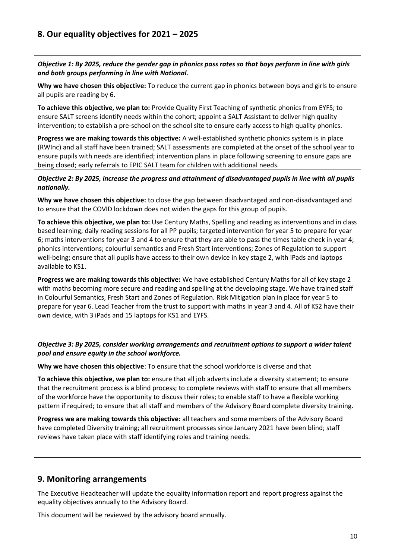*Objective 1: By 2025, reduce the gender gap in phonics pass rates so that boys perform in line with girls and both groups performing in line with National.*

**Why we have chosen this objective:** To reduce the current gap in phonics between boys and girls to ensure all pupils are reading by 6.

**To achieve this objective, we plan to:** Provide Quality First Teaching of synthetic phonics from EYFS; to ensure SALT screens identify needs within the cohort; appoint a SALT Assistant to deliver high quality intervention; to establish a pre-school on the school site to ensure early access to high quality phonics.

**Progress we are making towards this objective:** A well-established synthetic phonics system is in place (RWInc) and all staff have been trained; SALT assessments are completed at the onset of the school year to ensure pupils with needs are identified; intervention plans in place following screening to ensure gaps are being closed; early referrals to EPIC SALT team for children with additional needs.

*Objective 2: By 2025, increase the progress and attainment of disadvantaged pupils in line with all pupils nationally.*

**Why we have chosen this objective:** to close the gap between disadvantaged and non-disadvantaged and to ensure that the COVID lockdown does not widen the gaps for this group of pupils.

**To achieve this objective, we plan to:** Use Century Maths, Spelling and reading as interventions and in class based learning; daily reading sessions for all PP pupils; targeted intervention for year 5 to prepare for year 6; maths interventions for year 3 and 4 to ensure that they are able to pass the times table check in year 4; phonics interventions; colourful semantics and Fresh Start interventions; Zones of Regulation to support well-being; ensure that all pupils have access to their own device in key stage 2, with iPads and laptops available to KS1.

**Progress we are making towards this objective:** We have established Century Maths for all of key stage 2 with maths becoming more secure and reading and spelling at the developing stage. We have trained staff in Colourful Semantics, Fresh Start and Zones of Regulation. Risk Mitigation plan in place for year 5 to prepare for year 6. Lead Teacher from the trust to support with maths in year 3 and 4. All of KS2 have their own device, with 3 iPads and 15 laptops for KS1 and EYFS.

*Objective 3: By 2025, consider working arrangements and recruitment options to support a wider talent pool and ensure equity in the school workforce.*

**Why we have chosen this objective**: To ensure that the school workforce is diverse and that

**To achieve this objective, we plan to:** ensure that all job adverts include a diversity statement; to ensure that the recruitment process is a blind process; to complete reviews with staff to ensure that all members of the workforce have the opportunity to discuss their roles; to enable staff to have a flexible working pattern if required; to ensure that all staff and members of the Advisory Board complete diversity training.

**Progress we are making towards this objective:** all teachers and some members of the Advisory Board have completed Diversity training; all recruitment processes since January 2021 have been blind; staff reviews have taken place with staff identifying roles and training needs.

## **9. Monitoring arrangements**

The Executive Headteacher will update the equality information report and report progress against the equality objectives annually to the Advisory Board.

This document will be reviewed by the advisory board annually.